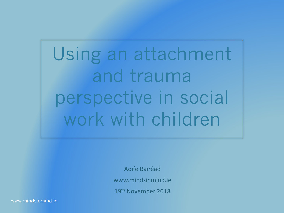Using an attachment and trauma perspective in social work with children

> Aoife Bairéad www.mindsinmind.ie 19th November 2018

www.mindsinmind.ie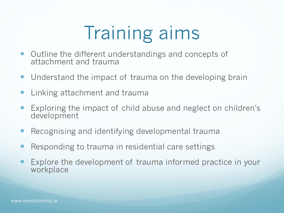# Training aims

- Outline the different understandings and concepts of attachment and trauma
- Understand the impact of trauma on the developing brain
- Linking attachment and trauma
- Exploring the impact of child abuse and neglect on children's development
- Recognising and identifying developmental trauma
- Responding to trauma in residential care settings
- Explore the development of trauma informed practice in your workplace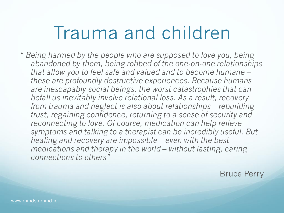### Trauma and children

- *" Being harmed by the people who are supposed to love you, being abandoned by them, being robbed of the one-on-one relationships that allow you to feel safe and valued and to become humane – these are profoundly destructive experiences. Because humans are inescapably social beings, the worst catastrophies that can befall us inevitably involve relational loss. As a result, recovery from trauma and neglect is also about relationships – rebuilding trust, regaining confidence, returning to a sense of security and reconnecting to love. Of course, medication can help relieve symptoms and talking to a therapist can be incredibly useful. But healing and recovery are impossible – even with the best medications and therapy in the world – without lasting, caring connections to others"*
	- Bruce Perry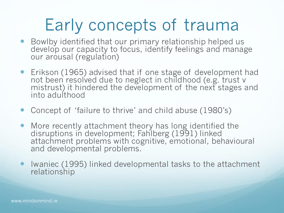### Early concepts of trauma

- Bowlby identified that our primary relationship helped us develop our capacity to focus, identify feelings and manage our arousal (regulation)
- Erikson (1965) advised that if one stage of development had not been resolved due to neglect in childhood (e.g. trust v mistrust) it hindered the development of the next stages and into adulthood
- Concept of 'failure to thrive' and child abuse (1980's)
- More recently attachment theory has long identified the disruptions in development; Fahlberg (1991) linked attachment problems with cognitive, emotional, behavioural and developmental problems.
- Iwaniec (1995) linked developmental tasks to the attachment relationship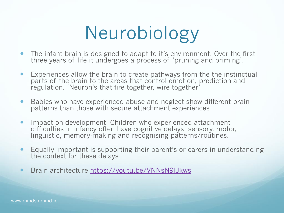# Neurobiology

- The infant brain is designed to adapt to it's environment. Over the first three years of life it undergoes a process of 'pruning and priming'.
- Experiences allow the brain to create pathways from the the instinctual parts of the brain to the areas that control emotion, prediction and regulation. 'Neuron's that fire together, wire together'
- Babies who have experienced abuse and neglect show different brain patterns than those with secure attachment experiences.
- **Impact on development: Children who experienced attachment** difficulties in infancy often have cognitive delays; sensory, motor, linguistic, memory-making and recognising patterns/routines.
- Equally important is supporting their parent's or carers in understanding the context for these delays
- Brain architecture<https://youtu.be/VNNsN9IJkws>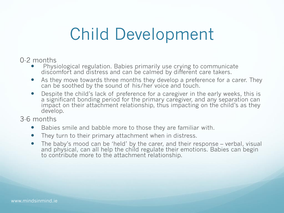### Child Development

#### 0-2 months

- Physiological regulation. Babies primarily use crying to communicate discomfort and distress and can be calmed by different care takers.
- As they move towards three months they develop a preference for a carer. They can be soothed by the sound of his/her voice and touch.
- Despite the child's lack of preference for a caregiver in the early weeks, this is a significant bonding period for the primary caregiver, and any separation can impact on their attachment relationship, thus impacting on the child's as they develop.

#### 3-6 months

- Babies smile and babble more to those they are familiar with.
- They turn to their primary attachment when in distress.
- The baby's mood can be 'held' by the carer, and their response verbal, visual and physical, can all help the child regulate their emotions. Babies can begin to contribute more to the attachment relationship.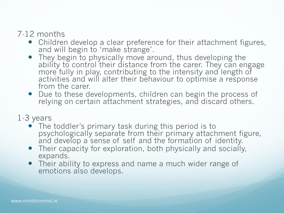#### 7-12 months

- Children develop a clear preference for their attachment figures, and will begin to 'make strange'.
- They begin to physically move around, thus developing the ability to control their distance from the carer. They can engage more fully in play, contributing to the intensity and length of activities and will alter their behaviour to optimise a response from the carer.
- Due to these developments, children can begin the process of relying on certain attachment strategies, and discard others.

#### 1-3 years

- The toddler's primary task during this period is to psychologically separate from their primary attachment figure, and develop a sense of self and the formation of identity.
- Their capacity for exploration, both physically and socially, expands.
- Their ability to express and name a much wider range of emotions also develops.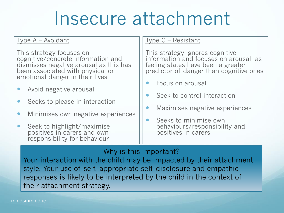## Insecure attachment

#### Type A – Avoidant

This strategy focuses on cognitive/concrete information and dismisses negative arousal as this has been associated with physical or emotional danger in their lives

- Avoid negative arousal
- Seeks to please in interaction
- Minimises own negative experiences
- Seek to highlight/maximise positives in carers and own responsibility for behaviour

#### Type C – Resistant

This strategy ignores cognitive information and focuses on arousal, as feeling states have been a greater predictor of danger than cognitive ones

- Focus on arousal
- Seek to control interaction
- Maximises negative experiences
- Seeks to minimise own behaviours/responsibility and positives in carers

#### Why is this important?

Your interaction with the child may be impacted by their attachment style. Your use of self, appropriate self disclosure and empathic responses is likely to be interpreted by the child in the context of their attachment strategy.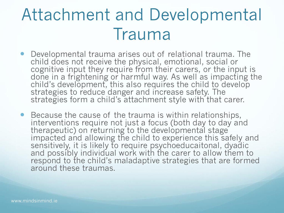### Attachment and Developmental Trauma

- Developmental trauma arises out of relational trauma. The child does not receive the physical, emotional, social or cognitive input they require from their carers, or the input is done in a frightening or harmful way. As well as impacting the child's development, this also requires the child to develop strategies to reduce danger and increase safety. The strategies form a child's attachment style with that carer.
- Because the cause of the trauma is within relationships, interventions require not just a focus (both day to day and therapeutic) on returning to the developmental stage impacted and allowing the child to experience this safely and sensitively, it is likely to require psychoeducaitonal, dyadic and possibly individual work with the carer to allow them to respond to the child's maladaptive strategies that are formed around these traumas.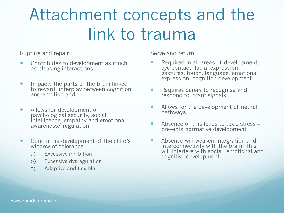### Attachment concepts and the link to trauma

Rupture and repair

- Contributes to development as much as pleasing interactions
- Impacts the parts of the brain linked to reward, interplay between cognition and emotion and
- Allows for development of psychological security, social intelligence, empathy and emotional awareness/ regulation
- Core in the development of the child's window of tolerance
	- a) Excessive inhibition
	- b) Excessive dysregulation
	- c) Adaptive and flexible

Serve and return

- Required in all areas of development; eye contact, facial expression, gestures, touch, language, emotional expression, cognition development
- Requires carers to recognise and respond to infant signals
- Allows for the development of neural pathways
- Absence of this leads to toxic stress prevents normative development
- Absence will weaken integration and interconnectivity with the brain. This will interfere with social, emotional and cognitive development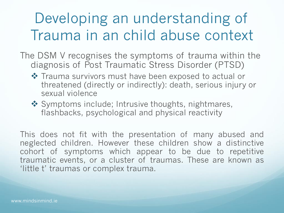### Developing an understanding of Trauma in an child abuse context

- The DSM V recognises the symptoms of trauma within the diagnosis of Post Traumatic Stress Disorder (PTSD)
	- ❖ Trauma survivors must have been exposed to actual or threatened (directly or indirectly): death, serious injury or sexual violence
	- ❖ Symptoms include; Intrusive thoughts, nightmares, flashbacks, psychological and physical reactivity

This does not fit with the presentation of many abused and neglected children. However these children show a distinctive cohort of symptoms which appear to be due to repetitive traumatic events, or a cluster of traumas. These are known as 'little t' traumas or complex trauma.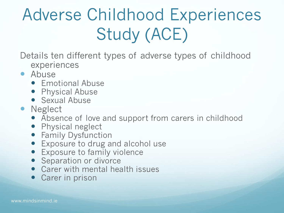## Adverse Childhood Experiences Study (ACE)

- Details ten different types of adverse types of childhood experiences
- Abuse
	- **•** Emotional Abuse
	- Physical Abuse
	- **Sexual Abuse**
- Neglect
	- Absence of love and support from carers in childhood
	- Physical neglect
	- **•** Family Dysfunction
	- Exposure to drug and alcohol use
	- **Exposure to family violence**
	- Separation or divorce
	- Carer with mental health issues
	- Carer in prison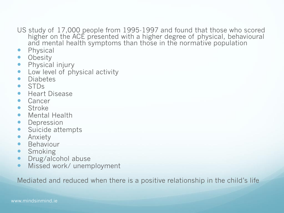US study of 17,000 people from 1995-1997 and found that those who scored higher on the ACE presented with a higher degree of physical, behavioural and mental health symptoms than those in the normative population

- Physical
- Obesity
- Physical injury
- Low level of physical activity
- Diabetes
- STDs
- **•** Heart Disease
- Cancer
- **•** Stroke
- Mental Health
- Depression
- Suicide attempts
- **•** Anxiety
- Behaviour
- Smoking
- Drug/alcohol abuse
- Missed work/ unemployment

Mediated and reduced when there is a positive relationship in the child's life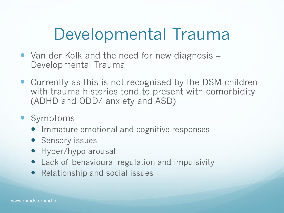### Developmental Trauma

- Van der Kolk and the need for new diagnosis Developmental Trauma
- Currently as this is not recognised by the DSM children with trauma histories tend to present with comorbidity (ADHD and ODD/ anxiety and ASD)
- Symptoms
	- Immature emotional and cognitive responses
	- **•** Sensory issues
	- Hyper/hypo arousal
	- Lack of behavioural regulation and impulsivity
	- Relationship and social issues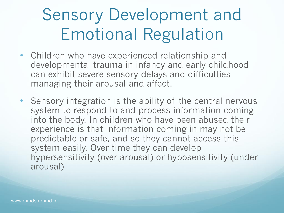### Sensory Development and Emotional Regulation

- Children who have experienced relationship and developmental trauma in infancy and early childhood can exhibit severe sensory delays and difficulties managing their arousal and affect.
- Sensory integration is the ability of the central nervous system to respond to and process information coming into the body. In children who have been abused their experience is that information coming in may not be predictable or safe, and so they cannot access this system easily. Over time they can develop hypersensitivity (over arousal) or hyposensitivity (under arousal)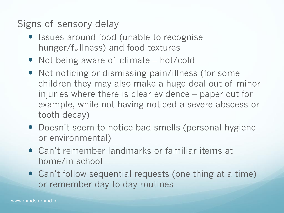Signs of sensory delay

- Issues around food (unable to recognise hunger/fullness) and food textures
- Not being aware of climate hot/cold
- Not noticing or dismissing pain/illness (for some children they may also make a huge deal out of minor injuries where there is clear evidence – paper cut for example, while not having noticed a severe abscess or tooth decay)
- Doesn't seem to notice bad smells (personal hygiene or environmental)
- Can't remember landmarks or familiar items at home/in school
- Can't follow sequential requests (one thing at a time) or remember day to day routines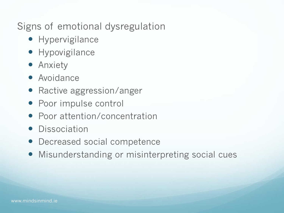Signs of emotional dysregulation

- **•** Hypervigilance
- **•** Hypovigilance
- **•** Anxiety
- Avoidance
- Ractive aggression/anger
- Poor impulse control
- Poor attention/concentration
- **•** Dissociation
- Decreased social competence
- Misunderstanding or misinterpreting social cues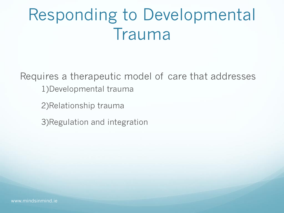### Responding to Developmental Trauma

Requires a therapeutic model of care that addresses 1)Developmental trauma

2)Relationship trauma

3)Regulation and integration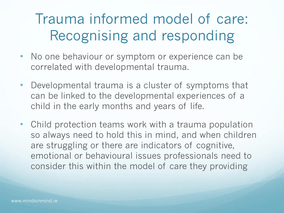### Trauma informed model of care: Recognising and responding

- No one behaviour or symptom or experience can be correlated with developmental trauma.
- Developmental trauma is a cluster of symptoms that can be linked to the developmental experiences of a child in the early months and years of life.
- Child protection teams work with a trauma population so always need to hold this in mind, and when children are struggling or there are indicators of cognitive, emotional or behavioural issues professionals need to consider this within the model of care they providing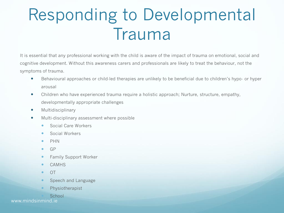### Responding to Developmental Trauma

It is essential that any professional working with the child is aware of the impact of trauma on emotional, social and cognitive development. Without this awareness carers and professionals are likely to treat the behaviour, not the symptoms of trauma.

- Behavioural approaches or child-led therapies are unlikely to be beneficial due to children's hypo- or hyper arousal
- Children who have experienced trauma require a holistic approach; Nurture, structure, empathy, developmentally appropriate challenges
- **•** Multidisciplinary
- Multi-disciplinary assessment where possible
	- Social Care Workers
	- **Social Workers**
	- $\bullet$  PHN
	- $\bullet$  GP
	- **•** Family Support Worker
	- CAMHS
	- $\bullet$  OT
	- Speech and Language
	- Physiotherapist

**School** www.mindsinmind.ie